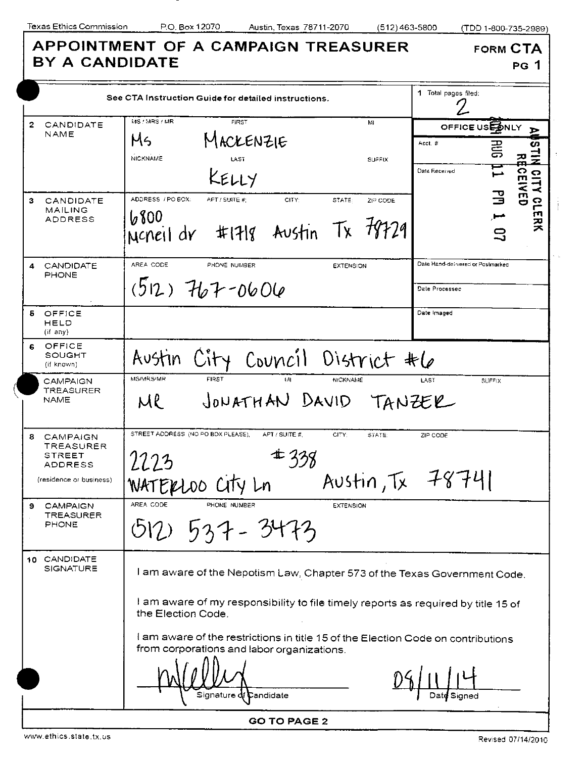| <b>BY A CANDIDATE</b>                                                                    | APPOINTMENT OF A CAMPAIGN TREASURER                                                                                                                                                     | <b>FORM CTA</b><br>PG 1                                                                                  |
|------------------------------------------------------------------------------------------|-----------------------------------------------------------------------------------------------------------------------------------------------------------------------------------------|----------------------------------------------------------------------------------------------------------|
| See CTA Instruction Guide for detailed instructions.                                     |                                                                                                                                                                                         | 1 Total pages filed:                                                                                     |
| 2<br>CANDIDATE<br>NAME                                                                   | MS / MRS / MR<br><b>FIRST</b><br>Mì<br>MACKENZIE<br>Ms<br><b>NICKNAME</b><br>LST<br><b>SUFFIX</b><br>KELLY                                                                              | OFFICE USE ONLY<br>⋗<br>$Acct. =$<br>တ<br>릉<br>$\frac{1}{2}$<br>꼮<br><b>CEI</b><br>Date Received<br>A110 |
| 3<br>CANDIDATE<br>MAILING<br>ADDRESS                                                     | ADDRESS / PO BOX:<br>APT / SUITE #:<br>CITY:<br>STATE:<br>ZIP CODE<br>6800<br>Ncheil dr #1718 Austin Tx 78729                                                                           | <b>NED</b><br>3<br><b>CLERK</b><br>吕                                                                     |
| CANDIDATE<br>4<br>PHONE                                                                  | AREA CODE<br>PHONE NUMBER<br><b>EXTENSION</b><br>$(512)$ $767 - 0606$                                                                                                                   | Date Hand-delivered or Postmarked<br>Date Processed                                                      |
| OFFICE<br>6.<br>HELD<br>(if any)                                                         |                                                                                                                                                                                         | Date Imaged                                                                                              |
| OFFICE<br>6<br>SOUGHT<br>(if known)                                                      | Austin City Council District #6                                                                                                                                                         |                                                                                                          |
| <b>CAMPAIGN</b><br>TREASURER<br><b>NAME</b>                                              | MS/MRS/MR<br><b>FIRST</b><br><b>NICKNAME</b><br>tм<br>JONATHAN DAVID TANZER<br>UR                                                                                                       | LAST<br><b>SUFFIX</b>                                                                                    |
| 8<br><b>CAMPAIGN</b><br><b>TREASURER</b><br>STREET<br>ADDRESS<br>(residence or business) | STREET ADDRESS (NO PO BOX PLEASE),<br>APT / SUITE #.<br>CITY:<br>STATE:<br>$\mathbf{\mathcal{F}}$ 338<br>Austin, Tx 78741<br>WATERLOO City Ln                                           | ZIP CODE                                                                                                 |
| <b>CAMPAIGN</b><br>9<br><b>TREASURER</b><br><b>PHONE</b>                                 | AREA CODE<br>PHONE NUMBER<br><b>EXTENSION</b><br>$537 - 3473$<br>512.                                                                                                                   |                                                                                                          |
| 10 CANDIDATE<br>SIGNATURE                                                                | I am aware of the Nepotism Law, Chapter 573 of the Texas Government Code.<br>I am aware of my responsibility to file timely reports as required by title 15 of<br>the Election Code.    |                                                                                                          |
|                                                                                          | I am aware of the restrictions in title 15 of the Election Code on contributions<br>from corporations and labor organizations.<br>Signature <b>di C</b> andidate<br><b>GO TO PAGE 2</b> | Date Signed                                                                                              |